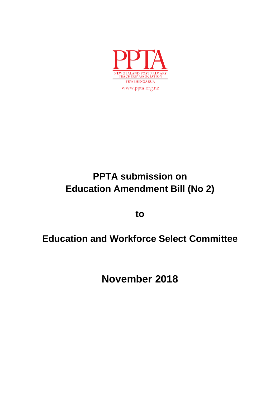

# **PPTA submission on Education Amendment Bill (No 2)**

**to** 

## **Education and Workforce Select Committee**

**November 2018**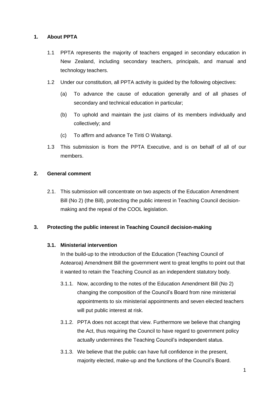### **1. About PPTA**

- 1.1 PPTA represents the majority of teachers engaged in secondary education in New Zealand, including secondary teachers, principals, and manual and technology teachers.
- 1.2 Under our constitution, all PPTA activity is guided by the following objectives:
	- (a) To advance the cause of education generally and of all phases of secondary and technical education in particular;
	- (b) To uphold and maintain the just claims of its members individually and collectively; and
	- (c) To affirm and advance Te Tiriti O Waitangi.
- 1.3 This submission is from the PPTA Executive, and is on behalf of all of our members.

#### **2. General comment**

2.1. This submission will concentrate on two aspects of the Education Amendment Bill (No 2) (the Bill), protecting the public interest in Teaching Council decisionmaking and the repeal of the COOL legislation.

### **3. Protecting the public interest in Teaching Council decision-making**

#### **3.1. Ministerial intervention**

In the build-up to the introduction of the Education (Teaching Council of Aotearoa) Amendment Bill the government went to great lengths to point out that it wanted to retain the Teaching Council as an independent statutory body.

- 3.1.1. Now, according to the notes of the Education Amendment Bill (No 2) changing the composition of the Council's Board from nine ministerial appointments to six ministerial appointments and seven elected teachers will put public interest at risk.
- 3.1.2. PPTA does not accept that view. Furthermore we believe that changing the Act, thus requiring the Council to have regard to government policy actually undermines the Teaching Council's independent status.
- 3.1.3. We believe that the public can have full confidence in the present, majority elected, make-up and the functions of the Council's Board.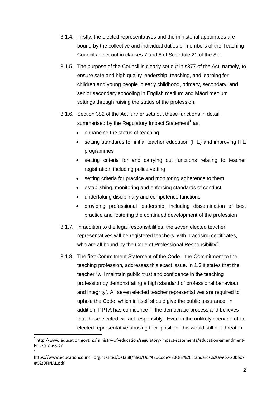- 3.1.4. Firstly, the elected representatives and the ministerial appointees are bound by the collective and individual duties of members of the Teaching Council as set out in clauses 7 and 8 of Schedule 21 of the Act.
- 3.1.5. The purpose of the Council is clearly set out in s377 of the Act, namely, to ensure safe and high quality leadership, teaching, and learning for children and young people in early childhood, primary, secondary, and senior secondary schooling in English medium and Māori medium settings through raising the status of the profession.
- 3.1.6. Section 382 of the Act further sets out these functions in detail, summarised by the Regulatory Impact Statement<sup>1</sup> as:
	- enhancing the status of teaching
	- setting standards for initial teacher education (ITE) and improving ITE programmes
	- setting criteria for and carrying out functions relating to teacher registration, including police vetting
	- setting criteria for practice and monitoring adherence to them
	- establishing, monitoring and enforcing standards of conduct
	- undertaking disciplinary and competence functions
	- providing professional leadership, including dissemination of best practice and fostering the continued development of the profession.
- 3.1.7. In addition to the legal responsibilities, the seven elected teacher representatives will be registered teachers, with practising certificates, who are all bound by the Code of Professional Responsibility<sup>2</sup>.
- 3.1.8. The first Commitment Statement of the Code—the Commitment to the teaching profession, addresses this exact issue. In 1.3 it states that the teacher "will maintain public trust and confidence in the teaching profession by demonstrating a high standard of professional behaviour and integrity". All seven elected teacher representatives are required to uphold the Code, which in itself should give the public assurance. In addition, PPTA has confidence in the democratic process and believes that those elected will act responsibly. Even in the unlikely scenario of an elected representative abusing their position, this would still not threaten

<u>.</u>

<sup>&</sup>lt;sup>1</sup> http://www.education.govt.nz/ministry-of-education/regulatory-impact-statements/education-amendmentbill-2018-no-2/ 2

https://www.educationcouncil.org.nz/sites/default/files/Our%20Code%20Our%20Standards%20web%20bookl et%20FINAL.pdf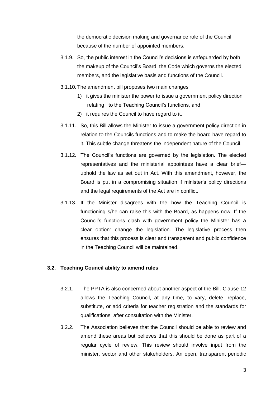the democratic decision making and governance role of the Council, because of the number of appointed members.

- 3.1.9. So, the public interest in the Council's decisions is safeguarded by both the makeup of the Council's Board, the Code which governs the elected members, and the legislative basis and functions of the Council.
- 3.1.10. The amendment bill proposes two main changes
	- 1) it gives the minister the power to issue a government policy direction relating to the Teaching Council's functions, and
	- 2) it requires the Council to have regard to it.
- 3.1.11. So, this Bill allows the Minister to issue a government policy direction in relation to the Councils functions and to make the board have regard to it. This subtle change threatens the independent nature of the Council.
- 3.1.12. The Council's functions are governed by the legislation. The elected representatives and the ministerial appointees have a clear brief uphold the law as set out in Act. With this amendment, however, the Board is put in a compromising situation if minister's policy directions and the legal requirements of the Act are in conflict.
- 3.1.13. If the Minister disagrees with the how the Teaching Council is functioning s/he can raise this with the Board, as happens now. If the Council's functions clash with government policy the Minister has a clear option: change the legislation. The legislative process then ensures that this process is clear and transparent and public confidence in the Teaching Council will be maintained.

#### **3.2. Teaching Council ability to amend rules**

- 3.2.1. The PPTA is also concerned about another aspect of the Bill. Clause 12 allows the Teaching Council, at any time, to vary, delete, replace, substitute, or add criteria for teacher registration and the standards for qualifications, after consultation with the Minister.
- 3.2.2. The Association believes that the Council should be able to review and amend these areas but believes that this should be done as part of a regular cycle of review. This review should involve input from the minister, sector and other stakeholders. An open, transparent periodic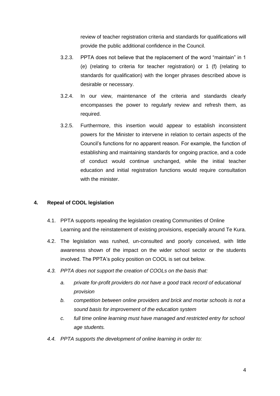review of teacher registration criteria and standards for qualifications will provide the public additional confidence in the Council.

- 3.2.3. PPTA does not believe that the replacement of the word "maintain" in 1 (e) (relating to criteria for teacher registration) or 1 (f) (relating to standards for qualification) with the longer phrases described above is desirable or necessary.
- 3.2.4. In our view, maintenance of the criteria and standards clearly encompasses the power to regularly review and refresh them, as required.
- 3.2.5. Furthermore, this insertion would appear to establish inconsistent powers for the Minister to intervene in relation to certain aspects of the Council's functions for no apparent reason. For example, the function of establishing and maintaining standards for ongoing practice, and a code of conduct would continue unchanged, while the initial teacher education and initial registration functions would require consultation with the minister

### **4. Repeal of COOL legislation**

- 4.1. PPTA supports repealing the legislation creating Communities of Online Learning and the reinstatement of existing provisions, especially around Te Kura.
- 4.2. The legislation was rushed, un-consulted and poorly conceived, with little awareness shown of the impact on the wider school sector or the students involved. The PPTA's policy position on COOL is set out below.
- *4.3. PPTA does not support the creation of COOLs on the basis that:*
	- *a. private for-profit providers do not have a good track record of educational provision*
	- *b. competition between online providers and brick and mortar schools is not a sound basis for improvement of the education system*
	- *c. full time online learning must have managed and restricted entry for school age students.*
- *4.4. PPTA supports the development of online learning in order to:*